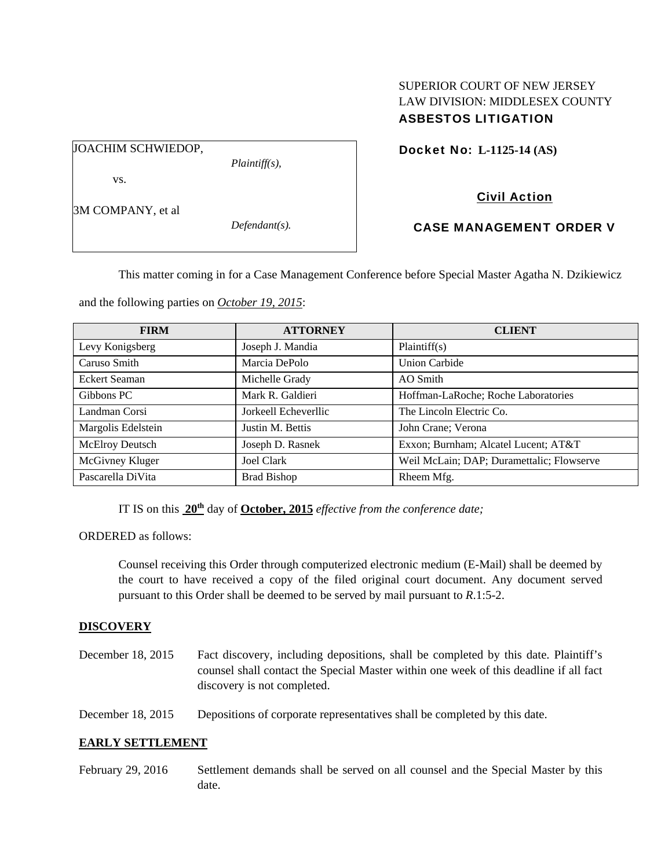## SUPERIOR COURT OF NEW JERSEY LAW DIVISION: MIDDLESEX COUNTY ASBESTOS LITIGATION

JOACHIM SCHWIEDOP,

vs.

*Plaintiff(s),* 

Docket No: **L-1125-14 (AS)** 

# Civil Action

3M COMPANY, et al

*Defendant(s).* 

CASE MANAGEMENT ORDER V

This matter coming in for a Case Management Conference before Special Master Agatha N. Dzikiewicz

and the following parties on *October 19, 2015*:

| <b>FIRM</b>        | <b>ATTORNEY</b>      | <b>CLIENT</b>                             |
|--------------------|----------------------|-------------------------------------------|
| Levy Konigsberg    | Joseph J. Mandia     | Plaintiff(s)                              |
| Caruso Smith       | Marcia DePolo        | <b>Union Carbide</b>                      |
| Eckert Seaman      | Michelle Grady       | AO Smith                                  |
| Gibbons PC         | Mark R. Galdieri     | Hoffman-LaRoche; Roche Laboratories       |
| Landman Corsi      | Jorkeell Echeverllic | The Lincoln Electric Co.                  |
| Margolis Edelstein | Justin M. Bettis     | John Crane; Verona                        |
| McElroy Deutsch    | Joseph D. Rasnek     | Exxon; Burnham; Alcatel Lucent; AT&T      |
| McGivney Kluger    | <b>Joel Clark</b>    | Weil McLain; DAP; Duramettalic; Flowserve |
| Pascarella DiVita  | <b>Brad Bishop</b>   | Rheem Mfg.                                |

IT IS on this **20th** day of **October, 2015** *effective from the conference date;*

ORDERED as follows:

Counsel receiving this Order through computerized electronic medium (E-Mail) shall be deemed by the court to have received a copy of the filed original court document. Any document served pursuant to this Order shall be deemed to be served by mail pursuant to *R*.1:5-2.

# **DISCOVERY**

December 18, 2015 Fact discovery, including depositions, shall be completed by this date. Plaintiff's counsel shall contact the Special Master within one week of this deadline if all fact discovery is not completed.

December 18, 2015 Depositions of corporate representatives shall be completed by this date.

### **EARLY SETTLEMENT**

February 29, 2016 Settlement demands shall be served on all counsel and the Special Master by this date.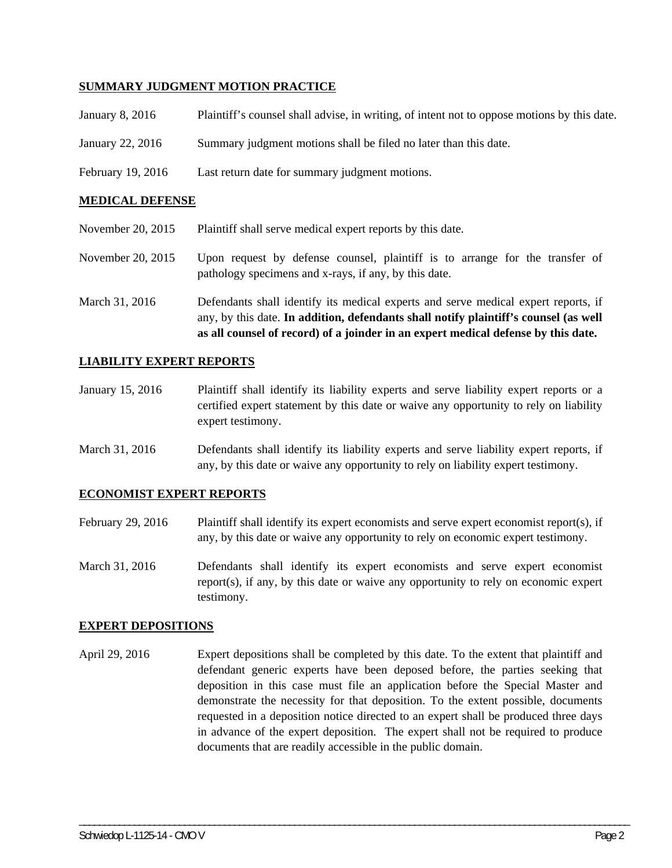#### **SUMMARY JUDGMENT MOTION PRACTICE**

| Plaintiff's counsel shall advise, in writing, of intent not to oppose motions by this date. |
|---------------------------------------------------------------------------------------------|
| Summary judgment motions shall be filed no later than this date.                            |
| Last return date for summary judgment motions.                                              |
|                                                                                             |

#### **MEDICAL DEFENSE**

|  | November 20, 2015 | Plaintiff shall serve medical expert reports by this date. |
|--|-------------------|------------------------------------------------------------|
|--|-------------------|------------------------------------------------------------|

- November 20, 2015 Upon request by defense counsel, plaintiff is to arrange for the transfer of pathology specimens and x-rays, if any, by this date.
- March 31, 2016 Defendants shall identify its medical experts and serve medical expert reports, if any, by this date. **In addition, defendants shall notify plaintiff's counsel (as well as all counsel of record) of a joinder in an expert medical defense by this date.**

#### **LIABILITY EXPERT REPORTS**

- January 15, 2016 Plaintiff shall identify its liability experts and serve liability expert reports or a certified expert statement by this date or waive any opportunity to rely on liability expert testimony.
- March 31, 2016 Defendants shall identify its liability experts and serve liability expert reports, if any, by this date or waive any opportunity to rely on liability expert testimony.

#### **ECONOMIST EXPERT REPORTS**

- February 29, 2016 Plaintiff shall identify its expert economists and serve expert economist report(s), if any, by this date or waive any opportunity to rely on economic expert testimony.
- March 31, 2016 Defendants shall identify its expert economists and serve expert economist report(s), if any, by this date or waive any opportunity to rely on economic expert testimony.

#### **EXPERT DEPOSITIONS**

April 29, 2016 Expert depositions shall be completed by this date. To the extent that plaintiff and defendant generic experts have been deposed before, the parties seeking that deposition in this case must file an application before the Special Master and demonstrate the necessity for that deposition. To the extent possible, documents requested in a deposition notice directed to an expert shall be produced three days in advance of the expert deposition. The expert shall not be required to produce documents that are readily accessible in the public domain.

\_\_\_\_\_\_\_\_\_\_\_\_\_\_\_\_\_\_\_\_\_\_\_\_\_\_\_\_\_\_\_\_\_\_\_\_\_\_\_\_\_\_\_\_\_\_\_\_\_\_\_\_\_\_\_\_\_\_\_\_\_\_\_\_\_\_\_\_\_\_\_\_\_\_\_\_\_\_\_\_\_\_\_\_\_\_\_\_\_\_\_\_\_\_\_\_\_\_\_\_\_\_\_\_\_\_\_\_\_\_